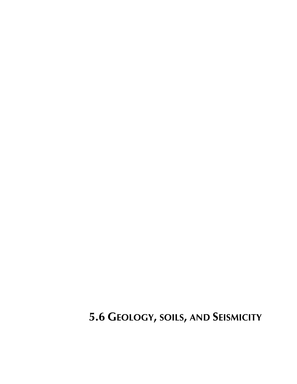**5.6 GEOLOGY, SOILS, AND SEISMICITY**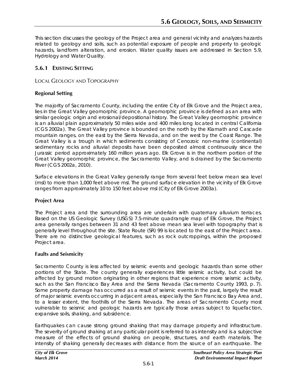This section discusses the geology of the Project area and general vicinity and analyzes hazards related to geology and soils, such as potential exposure of people and property to geologic hazards, landform alteration, and erosion. Water quality issues are addressed in Section 5.9, Hydrology and Water Quality.

# **5.6.1 EXISTING SETTING**

### LOCAL GEOLOGY AND TOPOGRAPHY

# **Regional Setting**

The majority of Sacramento County, including the entire City of Elk Grove and the Project area, lies in the Great Valley geomorphic province. A geomorphic province is defined as an area with similar geologic origin and erosional/depositional history. The Great Valley geomorphic province is an alluvial plain approximately 50 miles wide and 400 miles long located in central California (CGS 2002a). The Great Valley province is bounded on the north by the Klamath and Cascade mountain ranges, on the east by the Sierra Nevada, and on the west by the Coast Range. The Great Valley is a trough in which sediments consisting of Cenozoic non-marine (continental) sedimentary rocks and alluvial deposits have been deposited almost continuously since the Jurassic period approximately 160 million years ago. Elk Grove is in the northern portion of the Great Valley geomorphic province, the Sacramento Valley, and is drained by the Sacramento River (CGS 2002a, 2010).

Surface elevations in the Great Valley generally range from several feet below mean sea level (msl) to more than 1,000 feet above msl. The ground surface elevation in the vicinity of Elk Grove ranges from approximately 10 to 150 feet above msl (City of Elk Grove 2003a).

### **Project Area**

The Project area and the surrounding area are underlain with quaternary alluvium terraces. Based on the US Geologic Survey (USGS) 7.5-minute quadrangle map of Elk Grove, the Project area generally ranges between 31 and 43 feet above mean sea level with topography that is generally level throughout the site. State Route (SR) 99 is located to the east of the Project area. There are no distinctive geological features, such as rock outcroppings, within the proposed Project area.

### **Faults and Seismicity**

Sacramento County is less affected by seismic events and geologic hazards than some other portions of the State. The county generally experiences little seismic activity, but could be affected by ground motion originating in other regions that experience more seismic activity, such as the San Francisco Bay Area and the Sierra Nevada (Sacramento County 1993, p. 7). Some property damage has occurred as a result of seismic events in the past, largely the result of major seismic events occurring in adjacent areas, especially the San Francisco Bay Area and, to a lesser extent, the foothills of the Sierra Nevada. The areas of Sacramento County most vulnerable to seismic and geologic hazards are typically those areas subject to liquefaction, expansive soils, shaking, and subsidence.

Earthquakes can cause strong ground shaking that may damage property and infrastructure. The severity of ground shaking at any particular point is referred to as intensity and is a subjective measure of the effects of ground shaking on people, structures, and earth materials. The intensity of shaking generally decreases with distance from the source of an earthquake. The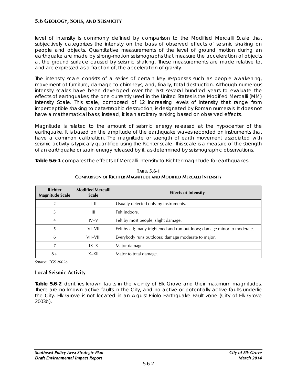level of intensity is commonly defined by comparison to the Modified Mercalli Scale that subjectively categorizes the intensity on the basis of observed effects of seismic shaking on people and objects. Quantitative measurements of the level of ground motion during an earthquake are made by strong-motion seismographs that measure the acceleration of objects at the ground surface caused by seismic shaking. These measurements are made relative to, and are expressed as a fraction of, the acceleration of gravity.

The intensity scale consists of a series of certain key responses such as people awakening, movement of furniture, damage to chimneys, and, finally, total destruction. Although numerous intensity scales have been developed over the last several hundred years to evaluate the effects of earthquakes, the one currently used in the United States is the Modified Mercalli (MM) Intensity Scale. This scale, composed of 12 increasing levels of intensity that range from imperceptible shaking to catastrophic destruction, is designated by Roman numerals. It does not have a mathematical basis; instead, it is an arbitrary ranking based on observed effects.

Magnitude is related to the amount of seismic energy released at the hypocenter of the earthquake. It is based on the amplitude of the earthquake waves recorded on instruments that have a common calibration. The magnitude or strength of earth movement associated with seismic activity is typically quantified using the Richter scale. This scale is a measure of the strength of an earthquake or strain energy released by it, as determined by seismographic observations.

**Table 5.6-1** compares the effects of Mercalli intensity to Richter magnitude for earthquakes.

| <b>Richter</b><br><b>Magnitude Scale</b> | <b>Modified Mercalli</b><br><b>Scale</b> | <b>Effects of Intensity</b>                                              |
|------------------------------------------|------------------------------------------|--------------------------------------------------------------------------|
| $\overline{2}$                           | $I$ -II                                  | Usually detected only by instruments.                                    |
| 3                                        | Ш                                        | Felt indoors.                                                            |
| 4                                        | $IV-V$                                   | Felt by most people; slight damage.                                      |
| 5                                        | VI-VII                                   | Felt by all; many frightened and run outdoors; damage minor to moderate. |
| 6                                        | VII–VIII                                 | Everybody runs outdoors; damage moderate to major.                       |
| 7                                        | $IX - X$                                 | Major damage.                                                            |
| $8+$                                     | $X - XII$                                | Major to total damage.                                                   |

**TABLE 5.6-1 COMPARISON OF RICHTER MAGNITUDE AND MODIFIED MERCALLI INTENSITY** 

*Source: CGS 2002b*

### **Local Seismic Activity**

**Table 5.6-2** identifies known faults in the vicinity of Elk Grove and their maximum magnitudes. There are no known active faults in the City, and no active or potentially active faults underlie the City. Elk Grove is not located in an Alquist-Priolo Earthquake Fault Zone (City of Elk Grove 2003b).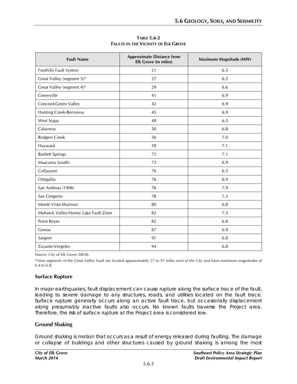| <b>Fault Name</b>                   | <b>Approximate Distance from</b><br><b>Elk Grove (in miles)</b> | Maximum Magnitude (MW) |
|-------------------------------------|-----------------------------------------------------------------|------------------------|
| Foothills Fault System              | 21                                                              | 6.5                    |
| Great Valley (segment 5)*           | 27                                                              | 6.5                    |
| Great Valley (segment 4)*           | 29                                                              | 6.6                    |
| Greenville                          | 41                                                              | 6.9                    |
| Concord-Green Valley                | 42                                                              | 6.9                    |
| Hunting Creek-Berryessa             | 45                                                              | 6.9                    |
| West Napa                           | 49                                                              | 6.5                    |
| Calaveras                           | 50                                                              | 6.8                    |
| Rodgers Creek                       | 56                                                              | 7.0                    |
| Hayward                             | 59                                                              | 7.1                    |
| <b>Bartlett Springs</b>             | 72                                                              | 7.1                    |
| Maacama (south)                     | 73                                                              | 6.9                    |
| Collayomi                           | 76                                                              | 6.5                    |
| Ortigalita                          | 76                                                              | 6.9                    |
| San Andreas (1906)                  | 76                                                              | 7.9                    |
| San Gregorio                        | 78                                                              | 7.3                    |
| Monte Vista-Shannon                 | 80                                                              | 6.8                    |
| Mohawk Valley-Honey Lake Fault Zone | 82                                                              | 7.3                    |
| Point Reyes                         | 82                                                              | 6.8                    |
| Genoa                               | 87                                                              | 6.9                    |
| Sargent                             | 91                                                              | 6.8                    |
| Zayante-Vergeles                    | 94                                                              | 6.8                    |

**TABLE 5.6-2 FAULTS IN THE VICINITY OF ELK GROVE**

*Source: City of Elk Grove 2003b*

*\*Nine segments of the Great Valley Fault are located approximately 27 to 91 miles west of the City and have maximum magnitudes of 6.4 to 6.8.*

### **Surface Rupture**

In major earthquakes, fault displacement can cause rupture along the surface trace of the fault, leading to severe damage to any structures, roads, and utilities located on the fault trace. Surface rupture generally occurs along an active fault trace, but occasionally displacement along presumably inactive faults also occurs. No known faults traverse the Project area. Therefore, the risk of surface rupture at the Project area is considered low.

### **Ground Shaking**

Ground shaking is motion that occurs as a result of energy released during faulting. The damage or collapse of buildings and other structures caused by ground shaking is among the most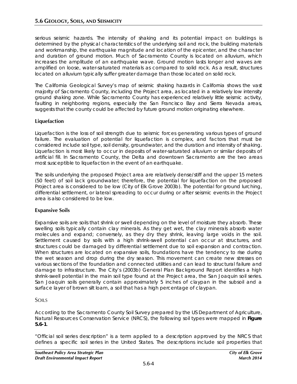serious seismic hazards. The intensity of shaking and its potential impact on buildings is determined by the physical characteristics of the underlying soil and rock, the building materials and workmanship, the earthquake magnitude and location of the epicenter, and the character and duration of ground motion. Much of Sacramento County is located on alluvium, which increases the amplitude of an earthquake wave. Ground motion lasts longer and waves are amplified on loose, water-saturated materials as compared to solid rock. As a result, structures located on alluvium typically suffer greater damage than those located on solid rock.

The California Geological Survey's map of seismic shaking hazards in California shows the vast majority of Sacramento County, including the Project area, as located in a relatively low intensity ground shaking zone. While Sacramento County has experienced relatively little seismic activity, faulting in neighboring regions, especially the San Francisco Bay and Sierra Nevada areas, suggests that the county could be affected by future ground motion originating elsewhere.

# **Liquefaction**

Liquefaction is the loss of soil strength due to seismic forces generating various types of ground failure. The evaluation of potential for liquefaction is complex, and factors that must be considered include soil type, soil density, groundwater, and the duration and intensity of shaking. Liquefaction is most likely to occur in deposits of water-saturated alluvium or similar deposits of artificial fill. In Sacramento County, the Delta and downtown Sacramento are the two areas most susceptible to liquefaction in the event of an earthquake.

The soils underlying the proposed Project area are relatively dense/stiff and the upper 15 meters (50 feet) of soil lack groundwater; therefore, the potential for liquefaction on the proposed Project area is considered to be low (City of Elk Grove 2003b). The potential for ground lurching, differential settlement, or lateral spreading to occur during or after seismic events in the Project area is also considered to be low.

# **Expansive Soils**

Expansive soils are soils that shrink or swell depending on the level of moisture they absorb. These swelling soils typically contain clay minerals. As they get wet, the clay minerals absorb water molecules and expand; conversely, as they dry they shrink, leaving large voids in the soil. Settlement caused by soils with a high shrink-swell potential can occur at structures, and structures could be damaged by differential settlement due to soil expansion and contraction. When structures are located on expansive soils, foundations have the tendency to rise during the wet season and drop during the dry season. This movement can create new stresses on various sections of the foundation and connected utilities and can lead to structural failure and damage to infrastructure. The City's (2003b) General Plan Background Report identifies a high shrink-swell potential in the main soil type found at the Project area, the San Joaquin soil series. San Joaquin soils generally contain approximately 5 inches of claypan in the subsoil and a surface layer of brown silt loam, a soil that has a high percentage of claypan.

# SOILS

According to the Sacramento County Soil Survey prepared by the US Department of Agriculture, Natural Resources Conservation Service (NRCS), the following soil types were mapped in **Figure 5.6-1**.

"Official soil series description" is a term applied to a description approved by the NRCS that defines a specific soil series in the United States. The descriptions include soil properties that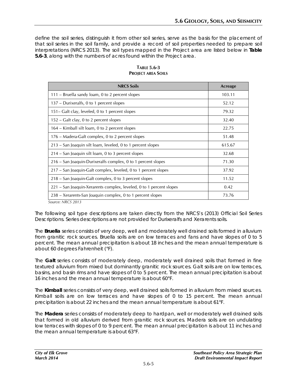define the soil series, distinguish it from other soil series, serve as the basis for the placement of that soil series in the soil family, and provide a record of soil properties needed to prepare soil interpretations (NRCS 2013). The soil types mapped in the Project area are listed below in **Table 5.6-3**, along with the numbers of acres found within the Project area.

| <b>NRCS Soils</b>                                                   | Acreage |
|---------------------------------------------------------------------|---------|
| 111 – Bruella sandy loam, 0 to 2 percent slopes                     | 103.11  |
| 137 – Durixeralfs, 0 to 1 percent slopes                            | 52.12   |
| 151– Galt clay, leveled, 0 to 1 percent slopes                      | 79.32   |
| 152 – Galt clay, 0 to 2 percent slopes                              | 32.40   |
| 164 – Kimball silt loam, 0 to 2 percent slopes                      | 22.75   |
| 176 – Madera-Galt complex, 0 to 2 percent slopes                    | 51.48   |
| 213 – San Joaquin silt loam, leveled, 0 to 1 percent slopes         | 615.67  |
| 214 – San Joaquin silt loam, 0 to 3 percent slopes                  | 32.68   |
| 216 – San Joaquin-Durixeralfs complex, 0 to 1 percent slopes        | 71.30   |
| 217 – San Joaquin-Galt complex, leveled, 0 to 1 percent slopes      | 37.92   |
| 218 – San Joaquin-Galt complex, 0 to 3 percent slopes               | 11.52   |
| 221 – San Joaquin-Xerarents complex, leveled, 0 to 1 percent slopes | 0.42    |
| 238 – Xerarents-San Joaquin complex, 0 to 1 percent slopes          | 73.76   |

**TABLE 5.6-3 PROJECT AREA SOILS**

*Source: NRCS 2013*

The following soil type descriptions are taken directly from the NRCS's (2013) Official Soil Series Descriptions. Series descriptions are not provided for Durixeralfs and Xerarents soils.

The **Bruella** series consists of very deep, well and moderately well drained soils formed in alluvium from granitic rock sources. Bruella soils are on low terraces and fans and have slopes of 0 to 5 percent. The mean annual precipitation is about 18 inches and the mean annual temperature is about 60 degrees Fahrenheit (°F).

The **Galt** series consists of moderately deep, moderately well drained soils that formed in fine textured alluvium from mixed but dominantly granitic rock sources. Galt soils are on low terraces, basins, and basin rims and have slopes of 0 to 5 percent. The mean annual precipitation is about 16 inches and the mean annual temperature is about 60°F.

The **Kimball** series consists of very deep, well drained soils formed in alluvium from mixed sources. Kimball soils are on low terraces and have slopes of 0 to 15 percent. The mean annual precipitation is about 22 inches and the mean annual temperature is about 61°F.

The **Madera** series consists of moderately deep to hardpan, well or moderately well drained soils that formed in old alluvium derived from granitic rock sources. Madera soils are on undulating low terraces with slopes of 0 to 9 percent. The mean annual precipitation is about 11 inches and the mean annual temperature is about 63°F.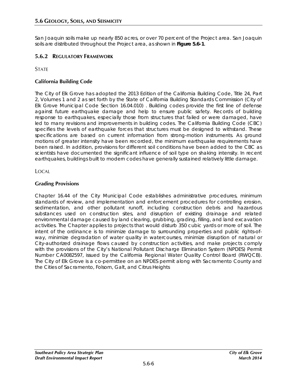San Joaquin soils make up nearly 850 acres, or over 70 percent of the Project area. San Joaquin soils are distributed throughout the Project area, as shown in **Figure 5.6-1**.

# **5.6.2 REGULATORY FRAMEWORK**

**STATE** 

### **California Building Code**

The City of Elk Grove has adopted the 2013 Edition of the California Building Code, Title 24, Part 2, Volumes 1 and 2 as set forth by the State of California Building Standards Commission (City of Elk Grove Municipal Code Section 16.04.010) . Building codes provide the first line of defense against future earthquake damage and help to ensure public safety. Records of building response to earthquakes, especially those from structures that failed or were damaged, have led to many revisions and improvements in building codes. The California Building Code (CBC) specifies the levels of earthquake forces that structures must be designed to withstand. These specifications are based on current information from strong-motion instruments. As ground motions of greater intensity have been recorded, the minimum earthquake requirements have been raised. In addition, provisions for different soil conditions have been added to the CBC as scientists have documented the significant influence of soil type on shaking intensity. In recent earthquakes, buildings built to modern codes have generally sustained relatively little damage.

LOCAL

### **Grading Provisions**

Chapter 16.44 of the City Municipal Code establishes administrative procedures, minimum standards of review, and implementation and enforcement procedures for controlling erosion, sedimentation, and other pollutant runoff, including construction debris and hazardous substances used on construction sites, and disruption of existing drainage and related environmental damage caused by land clearing, grubbing, grading, filling, and land excavation activities. The Chapter applies to projects that would disturb 350 cubic yards or more of soil. The intent of the ordinance is to minimize damage to surrounding properties and public rights-ofway, minimize degradation of water quality in watercourses, minimize disruption of natural or City-authorized drainage flows caused by construction activities, and make projects comply with the provisions of the City's National Pollutant Discharge Elimination System (NPDES) Permit Number CA0082597, issued by the California Regional Water Quality Control Board (RWQCB). The City of Elk Grove is a co-permittee on an NPDES permit along with Sacramento County and the Cities of Sacramento, Folsom, Galt, and Citrus Heights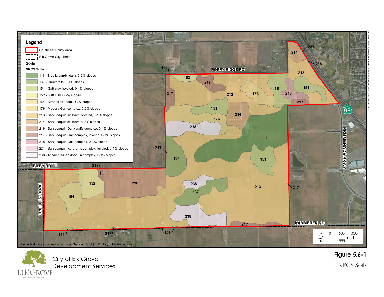



**F i g u r e 5 . 6 - 1**

NRCS Soils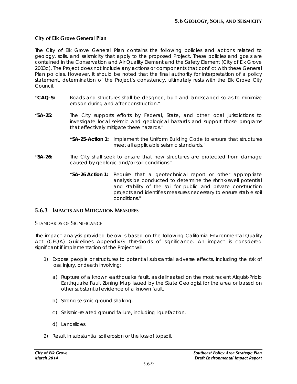### **City of Elk Grove General Plan**

The City of Elk Grove General Plan contains the following policies and actions related to geology, soils, and seismicity that apply to the proposed Project. These policies and goals are contained in the Conservation and Air Quality Element and the Safety Element (City of Elk Grove 2003c). The Project does not include any actions or components that conflict with these General Plan policies. However, it should be noted that the final authority for interpretation of a policy statement, determination of the Project's consistency, ultimately rests with the Elk Grove City Council.

- **"CAQ-5:** Roads and structures shall be designed, built and landscaped so as to minimize erosion during and after construction."
- **"SA-25:** The City supports efforts by Federal, State, and other local jurisdictions to investigate local seismic and geological hazards and support those programs that effectively mitigate these hazards."
	- **"SA-25-Action 1:** Implement the Uniform Building Code to ensure that structures meet all applicable seismic standards."
- **"SA-26:** The City shall seek to ensure that new structures are protected from damage caused by geologic and/or soil conditions."
	- **"SA-26 Action 1:** Require that a geotechnical report or other appropriate analysis be conducted to determine the shrink/swell potential and stability of the soil for public and private construction projects and identifies measures necessary to ensure stable soil conditions."

### **5.6.3 IMPACTS AND MITIGATION MEASURES**

STANDARDS OF SIGNIFICANCE

The impact analysis provided below is based on the following California Environmental Quality Act (CEQA) Guidelines Appendix G thresholds of significance. An impact is considered significant if implementation of the Project will:

- 1) Expose people or structures to potential substantial adverse effects, including the risk of loss, injury, or death involving:
	- a) Rupture of a known earthquake fault, as delineated on the most recent Alquist-Priolo Earthquake Fault Zoning Map issued by the State Geologist for the area or based on other substantial evidence of a known fault.
	- b) Strong seismic ground shaking.
	- c) Seismic-related ground failure, including liquefaction.
	- d) Landslides.
- 2) Result in substantial soil erosion or the loss of topsoil.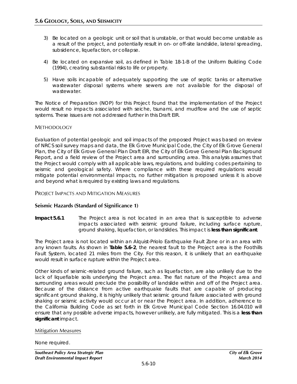- 3) Be located on a geologic unit or soil that is unstable, or that would become unstable as a result of the project, and potentially result in on- or off-site landslide, lateral spreading, subsidence, liquefaction, or collapse.
- 4) Be located on expansive soil, as defined in Table 18-1-B of the Uniform Building Code (1994), creating substantial risks to life or property.
- 5) Have soils incapable of adequately supporting the use of septic tanks or alternative wastewater disposal systems where sewers are not available for the disposal of wastewater.

The Notice of Preparation (NOP) for this Project found that the implementation of the Project would result no impacts associated with seiche, tsunami, and mudflow and the use of septic systems. These issues are not addressed further in this Draft EIR.

### **METHODOLOGY**

Evaluation of potential geologic and soil impacts of the proposed Project was based on review of NRCS soil survey maps and data, the Elk Grove Municipal Code, the City of Elk Grove General Plan, the City of Elk Grove General Plan Draft EIR, the City of Elk Grove General Plan Background Report, and a field review of the Project area and surrounding area. This analysis assumes that the Project would comply with all applicable laws, regulations, and building codes pertaining to seismic and geological safety. Where compliance with these required regulations would mitigate potential environmental impacts, no further mitigation is proposed unless it is above and beyond what is required by existing laws and regulations.

#### PROJECT IMPACTS AND MITIGATION MEASURES

### **Seismic Hazards (Standard of Significance 1)**

**Impact 5.6.1** The Project area is not located in an area that is susceptible to adverse impacts associated with seismic ground failure, including surface rupture, ground shaking, liquefaction, or landslides. This impact is **less than significant**.

The Project area is not located within an Alquist-Priolo Earthquake Fault Zone or in an area with any known faults. As shown in **Table 5.6-2**, the nearest fault to the Project area is the Foothills Fault System, located 21 miles from the City. For this reason, it is unlikely that an earthquake would result in surface rupture within the Project area.

Other kinds of seismic-related ground failure, such as liquefaction, are also unlikely due to the lack of liquefiable soils underlying the Project area. The flat nature of the Project area and surrounding areas would preclude the possibility of landslide within and off of the Project area. Because of the distance from active earthquake faults that are capable of producing significant ground shaking, it is highly unlikely that seismic ground failure associated with ground shaking or seismic activity would occur at or near the Project area. In addition, adherence to the California Building Code as set forth in Elk Grove Municipal Code Section 16.04.010 will ensure that any possible adverse impacts, however unlikely, are fully mitigated. This is a **less than significant** impact.

#### Mitigation Measures

None required.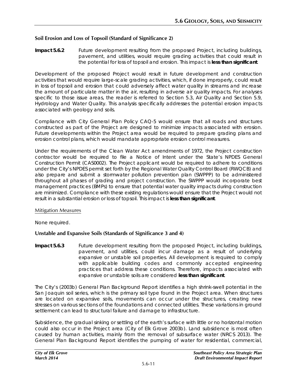### **Soil Erosion and Loss of Topsoil (Standard of Significance 2)**

**Impact 5.6.2** Future development resulting from the proposed Project, including buildings, pavement, and utilities, would require grading activities that could result in the potential for loss of topsoil and erosion. This impact is **less than significant**.

Development of the proposed Project would result in future development and construction activities that would require large-scale grading activities, which, if done improperly, could result in loss of topsoil and erosion that could adversely affect water quality in streams and increase the amount of particulate matter in the air, resulting in adverse air quality impacts. For analyses specific to those issue areas, the reader is referred to Section 5.3, Air Quality and Section 5.9, Hydrology and Water Quality. This analysis specifically addresses the potential erosion impacts associated with geology and soils.

Compliance with City General Plan Policy CAQ-5 would ensure that all roads and structures constructed as part of the Project are designed to minimize impacts associated with erosion. Future developments within the Project area would be required to prepare grading plans and erosion control plans, which would mandate appropriate erosion control measures.

Under the requirements of the Clean Water Act amendments of 1972, the Project construction contractor would be required to file a Notice of Intent under the State's NPDES General Construction Permit (CAS0002). The Project applicant would be required to adhere to conditions under the City's NPDES permit set forth by the Regional Water Quality Control Board (RWQCB) and also prepare and submit a stormwater pollution prevention plan (SWPPP) to be administered throughout all phases of grading and project construction. The SWPPP would incorporate best management practices (BMPs) to ensure that potential water quality impacts during construction are minimized. Compliance with these existing regulations would ensure that the Project would not result in a substantial erosion or loss of topsoil. This impact is **less than significant**.

#### Mitigation Measures

None required.

### **Unstable and Expansive Soils (Standards of Significance 3 and 4)**

**Impact 5.6.3** Future development resulting from the proposed Project, including buildings, pavement, and utilities, could incur damage as a result of underlying expansive or unstable soil properties. All development is required to comply with applicable building codes and commonly accepted engineering practices that address these conditions. Therefore, impacts associated with expansive or unstable soils are considered **less than significant**.

The City's (2003b) General Plan Background Report identifies a high shrink-swell potential in the San Joaquin soil series, which is the primary soil type found in the Project area. When structures are located on expansive soils, movements can occur under the structures, creating new stresses on various sections of the foundations and connected utilities. These variations in ground settlement can lead to structural failure and damage to infrastructure.

Subsidence, the gradual sinking or settling of the earth's surface with little or no horizontal motion could also occur in the Project area (City of Elk Grove 2003b). Land subsidence is most often caused by human activities, mainly from the removal of subsurface water (NRCS 2013). The General Plan Background Report identifies the pumping of water for residential, commercial,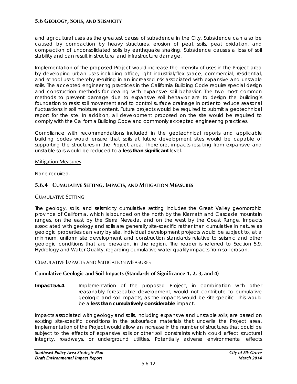and agricultural uses as the greatest cause of subsidence in the City. Subsidence can also be caused by compaction by heavy structures, erosion of peat soils, peat oxidation, and compaction of unconsolidated soils by earthquake shaking. Subsidence causes a loss of soil stability and can result in structural and infrastructure damage.

Implementation of the proposed Project would increase the intensity of uses in the Project area by developing urban uses including office, light industrial/flex space, commercial, residential, and school uses, thereby resulting in an increased risk associated with expansive and unstable soils. The accepted engineering practices in the California Building Code require special design and construction methods for dealing with expansive soil behavior. The two most common methods to prevent damage due to expansive soil behavior are to design the building's foundation to resist soil movement and to control surface drainage in order to reduce seasonal fluctuations in soil moisture content. Future projects would be required to submit a geotechnical report for the site. In addition, all development proposed on the site would be required to comply with the California Building Code and commonly accepted engineering practices.

Compliance with recommendations included in the geotechnical reports and applicable building codes would ensure that soils at future development sites would be capable of supporting the structures in the Project area. Therefore, impacts resulting from expansive and unstable soils would be reduced to a **less than significant** level.

### Mitigation Measures

None required.

# **5.6.4 CUMULATIVE SETTING, IMPACTS, AND MITIGATION MEASURES**

### CUMULATIVE SETTING

The geology, soils, and seismicity cumulative setting includes the Great Valley geomorphic province of California, which is bounded on the north by the Klamath and Cascade mountain ranges, on the east by the Sierra Nevada, and on the west by the Coast Range. Impacts associated with geology and soils are generally site-specific rather than cumulative in nature as geologic properties can vary by site. Individual development projects would be subject to, at a minimum, uniform site development and construction standards relative to seismic and other geologic conditions that are prevalent in the region. The reader is referred to Section 5.9, Hydrology and Water Quality, regarding cumulative water quality impacts from soil erosion.

### CUMULATIVE IMPACTS AND MITIGATION MEASURES

# **Cumulative Geologic and Soil Impacts (Standards of Significance 1, 2, 3, and 4)**

**Impact 5.6.4** Implementation of the proposed Project, in combination with other reasonably foreseeable development, would not contribute to cumulative geologic and soil impacts, as the impacts would be site-specific. This would be a **less than cumulatively considerable** impact.

Impacts associated with geology and soils, including expansive and unstable soils, are based on existing site-specific conditions in the subsurface materials that underlie the Project area. Implementation of the Project would allow an increase in the number of structures that could be subject to the effects of expansive soils or other soil constraints which could affect structural integrity, roadways, or underground utilities. Potentially adverse environmental effects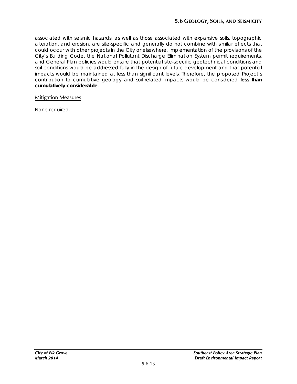associated with seismic hazards, as well as those associated with expansive soils, topographic alteration, and erosion, are site-specific and generally do not combine with similar effects that could occur with other projects in the City or elsewhere. Implementation of the provisions of the City's Building Code, the National Pollutant Discharge Elimination System permit requirements, and General Plan policies would ensure that potential site-specific geotechnical conditions and soil conditions would be addressed fully in the design of future development and that potential impacts would be maintained at less than significant levels. Therefore, the proposed Project's contribution to cumulative geology and soil-related impacts would be considered **less than cumulatively considerable**.

### Mitigation Measures

None required.